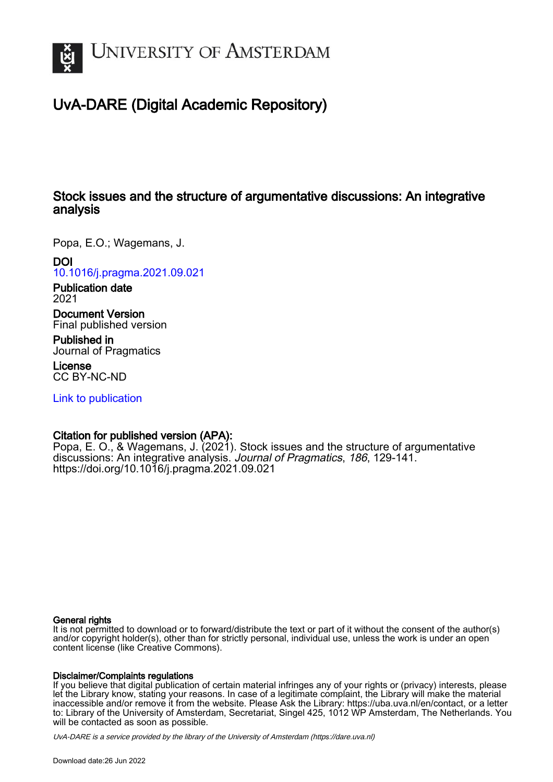

# UvA-DARE (Digital Academic Repository)

## Stock issues and the structure of argumentative discussions: An integrative analysis

Popa, E.O.; Wagemans, J.

DOI [10.1016/j.pragma.2021.09.021](https://doi.org/10.1016/j.pragma.2021.09.021)

Publication date 2021

Document Version Final published version

Published in Journal of Pragmatics

License CC BY-NC-ND

[Link to publication](https://dare.uva.nl/personal/pure/en/publications/stock-issues-and-the-structure-of-argumentative-discussions-an-integrative-analysis(e9001f95-3149-4fe0-87fb-342414972c13).html)

### Citation for published version (APA):

Popa, E. O., & Wagemans, J. (2021). Stock issues and the structure of argumentative discussions: An integrative analysis. Journal of Pragmatics, 186, 129-141. <https://doi.org/10.1016/j.pragma.2021.09.021>

### General rights

It is not permitted to download or to forward/distribute the text or part of it without the consent of the author(s) and/or copyright holder(s), other than for strictly personal, individual use, unless the work is under an open content license (like Creative Commons).

### Disclaimer/Complaints regulations

If you believe that digital publication of certain material infringes any of your rights or (privacy) interests, please let the Library know, stating your reasons. In case of a legitimate complaint, the Library will make the material inaccessible and/or remove it from the website. Please Ask the Library: https://uba.uva.nl/en/contact, or a letter to: Library of the University of Amsterdam, Secretariat, Singel 425, 1012 WP Amsterdam, The Netherlands. You will be contacted as soon as possible.

UvA-DARE is a service provided by the library of the University of Amsterdam (http*s*://dare.uva.nl)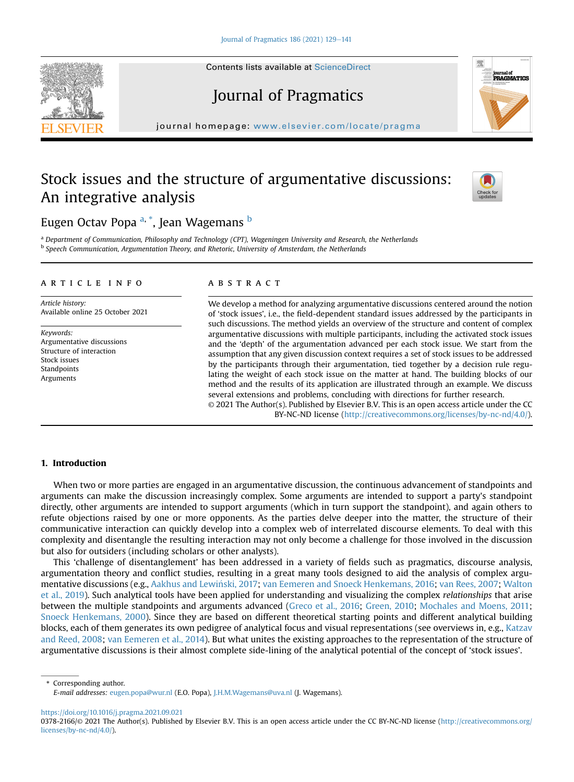# Journal of Pragmatics

journal homepage: <www.elsevier.com/locate/pragma> $\frac{1}{2}$ 

## Stock issues and the structure of argumentative discussions: An integrative analysis

## Eugen Octav Popa <sup>[a,](#page-1-0) \*</sup>, Jean Wagemans <sup>[b](#page-1-1)</sup>

<span id="page-1-1"></span><span id="page-1-0"></span><sup>a</sup> Department of Communication, Philosophy and Technology (CPT), Wageningen University and Research, the Netherlands <sup>b</sup> Speech Communication, Argumentation Theory, and Rhetoric, University of Amsterdam, the Netherlands

#### article info

Article history: Available online 25 October 2021

Keywords: Argumentative discussions Structure of interaction Stock issues Standpoints Arguments

#### **ABSTRACT**

We develop a method for analyzing argumentative discussions centered around the notion of 'stock issues', i.e., the field-dependent standard issues addressed by the participants in such discussions. The method yields an overview of the structure and content of complex argumentative discussions with multiple participants, including the activated stock issues and the 'depth' of the argumentation advanced per each stock issue. We start from the assumption that any given discussion context requires a set of stock issues to be addressed by the participants through their argumentation, tied together by a decision rule regulating the weight of each stock issue on the matter at hand. The building blocks of our method and the results of its application are illustrated through an example. We discuss several extensions and problems, concluding with directions for further research. © 2021 The Author(s). Published by Elsevier B.V. This is an open access article under the CC

BY-NC-ND license ([http://creativecommons.org/licenses/by-nc-nd/4.0/\)](http://creativecommons.org/licenses/by-nc-nd/4.0/).

#### 1. Introduction

When two or more parties are engaged in an argumentative discussion, the continuous advancement of standpoints and arguments can make the discussion increasingly complex. Some arguments are intended to support a party's standpoint directly, other arguments are intended to support arguments (which in turn support the standpoint), and again others to refute objections raised by one or more opponents. As the parties delve deeper into the matter, the structure of their communicative interaction can quickly develop into a complex web of interrelated discourse elements. To deal with this complexity and disentangle the resulting interaction may not only become a challenge for those involved in the discussion but also for outsiders (including scholars or other analysts).

This 'challenge of disentanglement' has been addressed in a variety of fields such as pragmatics, discourse analysis, argumentation theory and conflict studies, resulting in a great many tools designed to aid the analysis of complex argumentative discussions (e.g., [Aakhus and Lewinski, 2017](#page-12-0) ; [van Eemeren and Snoeck Henkemans, 2016](#page-13-0); [van Rees, 2007;](#page-13-1) [Walton](#page-13-2) [et al., 2019\)](#page-13-2). Such analytical tools have been applied for understanding and visualizing the complex relationships that arise between the multiple standpoints and arguments advanced [\(Greco et al., 2016](#page-12-1); [Green, 2010;](#page-12-2) [Mochales and Moens, 2011](#page-12-3); [Snoeck Henkemans, 2000](#page-13-3)). Since they are based on different theoretical starting points and different analytical building blocks, each of them generates its own pedigree of analytical focus and visual representations (see overviews in, e.g., [Katzav](#page-12-4) [and Reed, 2008](#page-12-4); [van Eemeren et al., 2014](#page-13-4)). But what unites the existing approaches to the representation of the structure of argumentative discussions is their almost complete side-lining of the analytical potential of the concept of 'stock issues'.

\* Corresponding author.

<https://doi.org/10.1016/j.pragma.2021.09.021>







E-mail addresses: [eugen.popa@wur.nl](mailto:eugen.popa@wur.nl) (E.O. Popa), [J.H.M.Wagemans@uva.nl](mailto:J.H.M.Wagemans@uva.nl) (J. Wagemans).

<sup>0378-2166/© 2021</sup> The Author(s). Published by Elsevier B.V. This is an open access article under the CC BY-NC-ND license [\(http://creativecommons.org/](http://creativecommons.org/licenses/by-nc-nd/4.0/) [licenses/by-nc-nd/4.0/](http://creativecommons.org/licenses/by-nc-nd/4.0/)).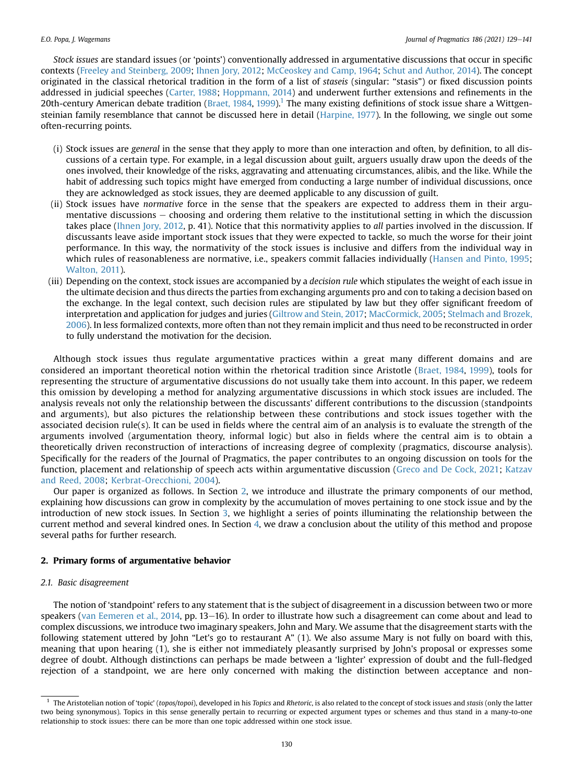Stock issues are standard issues (or 'points') conventionally addressed in argumentative discussions that occur in specific contexts [\(Freeley and Steinberg, 2009](#page-12-5); [Ihnen Jory, 2012;](#page-12-6) [McCeoskey and Camp, 1964](#page-12-7); [Schut and Author, 2014\)](#page-12-8). The concept originated in the classical rhetorical tradition in the form of a list of staseis (singular: "stasis") or fixed discussion points addressed in judicial speeches ([Carter, 1988;](#page-12-9) [Hoppmann, 2014\)](#page-12-10) and underwent further extensions and refinements in the 20th-century American debate tradition ([Braet, 1984,](#page-12-11) [1999](#page-12-12)).<sup>1</sup> The many existing definitions of stock issue share a Wittgensteinian family resemblance that cannot be discussed here in detail ([Harpine, 1977](#page-12-13)). In the following, we single out some often-recurring points.

- (i) Stock issues are general in the sense that they apply to more than one interaction and often, by definition, to all discussions of a certain type. For example, in a legal discussion about guilt, arguers usually draw upon the deeds of the ones involved, their knowledge of the risks, aggravating and attenuating circumstances, alibis, and the like. While the habit of addressing such topics might have emerged from conducting a large number of individual discussions, once they are acknowledged as stock issues, they are deemed applicable to any discussion of guilt.
- (ii) Stock issues have normative force in the sense that the speakers are expected to address them in their argumentative discussions – choosing and ordering them relative to the institutional setting in which the discussion takes place ([Ihnen Jory, 2012,](#page-12-6) p. 41). Notice that this normativity applies to all parties involved in the discussion. If discussants leave aside important stock issues that they were expected to tackle, so much the worse for their joint performance. In this way, the normativity of the stock issues is inclusive and differs from the individual way in which rules of reasonableness are normative, i.e., speakers commit fallacies individually ([Hansen and Pinto, 1995](#page-12-14); [Walton, 2011\)](#page-13-5).
- (iii) Depending on the context, stock issues are accompanied by a *decision rule* which stipulates the weight of each issue in the ultimate decision and thus directs the parties from exchanging arguments pro and con to taking a decision based on the exchange. In the legal context, such decision rules are stipulated by law but they offer significant freedom of interpretation and application for judges and juries ([Giltrow and Stein, 2017](#page-12-15); [MacCormick, 2005](#page-12-16); [Stelmach and Brozek,](#page-13-6) [2006](#page-13-6)). In less formalized contexts, more often than not they remain implicit and thus need to be reconstructed in order to fully understand the motivation for the decision.

Although stock issues thus regulate argumentative practices within a great many different domains and are considered an important theoretical notion within the rhetorical tradition since Aristotle ([Braet, 1984](#page-12-11), [1999\)](#page-12-12), tools for representing the structure of argumentative discussions do not usually take them into account. In this paper, we redeem this omission by developing a method for analyzing argumentative discussions in which stock issues are included. The analysis reveals not only the relationship between the discussants' different contributions to the discussion (standpoints and arguments), but also pictures the relationship between these contributions and stock issues together with the associated decision rule(s). It can be used in fields where the central aim of an analysis is to evaluate the strength of the arguments involved (argumentation theory, informal logic) but also in fields where the central aim is to obtain a theoretically driven reconstruction of interactions of increasing degree of complexity (pragmatics, discourse analysis). Specifically for the readers of the Journal of Pragmatics, the paper contributes to an ongoing discussion on tools for the function, placement and relationship of speech acts within argumentative discussion [\(Greco and De Cock, 2021;](#page-12-17) [Katzav](#page-12-4) [and Reed, 2008;](#page-12-4) [Kerbrat-Orecchioni, 2004\)](#page-12-18).

Our paper is organized as follows. In Section [2,](#page-2-1) we introduce and illustrate the primary components of our method, explaining how discussions can grow in complexity by the accumulation of moves pertaining to one stock issue and by the introduction of new stock issues. In Section [3](#page-9-0), we highlight a series of points illuminating the relationship between the current method and several kindred ones. In Section 4, we draw a conclusion about the utility of this method and propose several paths for further research.

#### <span id="page-2-1"></span>2. Primary forms of argumentative behavior

#### <span id="page-2-2"></span>2.1. Basic disagreement

The notion of 'standpoint' refers to any statement that is the subject of disagreement in a discussion between two or more speakers [\(van Eemeren et al., 2014,](#page-13-4) pp. 13–16). In order to illustrate how such a disagreement can come about and lead to complex discussions, we introduce two imaginary speakers, John and Mary. We assume that the disagreement starts with the following statement uttered by John "Let's go to restaurant A" (1). We also assume Mary is not fully on board with this, meaning that upon hearing (1), she is either not immediately pleasantly surprised by John's proposal or expresses some degree of doubt. Although distinctions can perhaps be made between a 'lighter' expression of doubt and the full-fledged rejection of a standpoint, we are here only concerned with making the distinction between acceptance and non-

<span id="page-2-0"></span><sup>&</sup>lt;sup>1</sup> The Aristotelian notion of 'topic' (topos/topoi), developed in his Topics and Rhetoric, is also related to the concept of stock issues and stasis (only the latter two being synonymous). Topics in this sense generally pertain to recurring or expected argument types or schemes and thus stand in a many-to-one relationship to stock issues: there can be more than one topic addressed within one stock issue.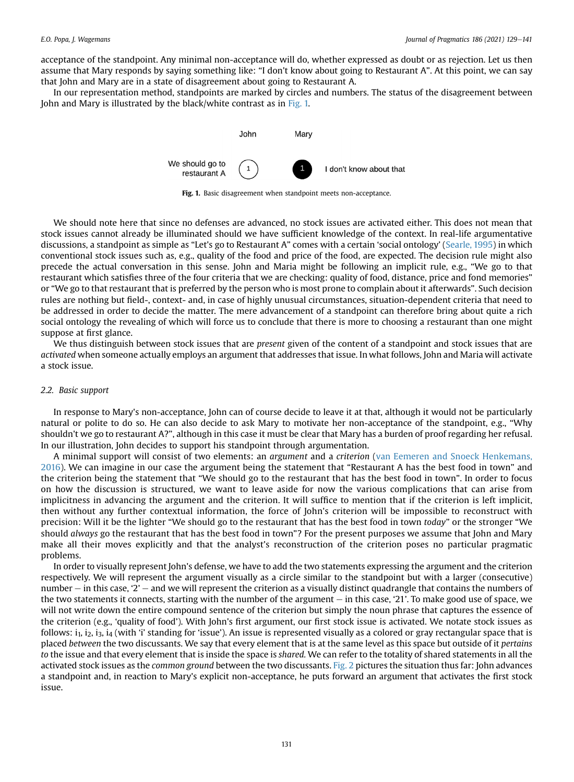acceptance of the standpoint. Any minimal non-acceptance will do, whether expressed as doubt or as rejection. Let us then assume that Mary responds by saying something like: "I don't know about going to Restaurant A". At this point, we can say that John and Mary are in a state of disagreement about going to Restaurant A.

<span id="page-3-0"></span>In our representation method, standpoints are marked by circles and numbers. The status of the disagreement between John and Mary is illustrated by the black/white contrast as in [Fig. 1.](#page-3-0)



Fig. 1. Basic disagreement when standpoint meets non-acceptance.

We should note here that since no defenses are advanced, no stock issues are activated either. This does not mean that stock issues cannot already be illuminated should we have sufficient knowledge of the context. In real-life argumentative discussions, a standpoint as simple as "Let's go to Restaurant A" comes with a certain 'social ontology' ([Searle, 1995\)](#page-12-19) in which conventional stock issues such as, e.g., quality of the food and price of the food, are expected. The decision rule might also precede the actual conversation in this sense. John and Maria might be following an implicit rule, e.g., "We go to that restaurant which satisfies three of the four criteria that we are checking: quality of food, distance, price and fond memories" or "We go to that restaurant that is preferred by the person who is most prone to complain about it afterwards". Such decision rules are nothing but field-, context- and, in case of highly unusual circumstances, situation-dependent criteria that need to be addressed in order to decide the matter. The mere advancement of a standpoint can therefore bring about quite a rich social ontology the revealing of which will force us to conclude that there is more to choosing a restaurant than one might suppose at first glance.

We thus distinguish between stock issues that are *present* given of the content of a standpoint and stock issues that are activated when someone actually employs an argument that addresses that issue. In what follows, John and Maria will activate a stock issue.

#### <span id="page-3-1"></span>2.2. Basic support

In response to Mary's non-acceptance, John can of course decide to leave it at that, although it would not be particularly natural or polite to do so. He can also decide to ask Mary to motivate her non-acceptance of the standpoint, e.g., "Why shouldn't we go to restaurant A?", although in this case it must be clear that Mary has a burden of proof regarding her refusal. In our illustration, John decides to support his standpoint through argumentation.

A minimal support will consist of two elements: an argument and a criterion ([van Eemeren and Snoeck Henkemans,](#page-13-0) [2016](#page-13-0)). We can imagine in our case the argument being the statement that "Restaurant A has the best food in town" and the criterion being the statement that "We should go to the restaurant that has the best food in town". In order to focus on how the discussion is structured, we want to leave aside for now the various complications that can arise from implicitness in advancing the argument and the criterion. It will suffice to mention that if the criterion is left implicit, then without any further contextual information, the force of John's criterion will be impossible to reconstruct with precision: Will it be the lighter "We should go to the restaurant that has the best food in town today" or the stronger "We should always go the restaurant that has the best food in town"? For the present purposes we assume that John and Mary make all their moves explicitly and that the analyst's reconstruction of the criterion poses no particular pragmatic problems.

In order to visually represent John's defense, we have to add the two statements expressing the argument and the criterion respectively. We will represent the argument visually as a circle similar to the standpoint but with a larger (consecutive) number  $-$  in this case, '2'  $-$  and we will represent the criterion as a visually distinct quadrangle that contains the numbers of the two statements it connects, starting with the number of the argument  $-$  in this case, '21'. To make good use of space, we will not write down the entire compound sentence of the criterion but simply the noun phrase that captures the essence of the criterion (e.g., 'quality of food'). With John's first argument, our first stock issue is activated. We notate stock issues as follows:  $i_1$ ,  $i_2$ ,  $i_3$ ,  $i_4$  (with 'i' standing for 'issue'). An issue is represented visually as a colored or gray rectangular space that is placed between the two discussants. We say that every element that is at the same level as this space but outside of it pertains to the issue and that every element that is inside the space is shared. We can refer to the totality of shared statements in all the activated stock issues as the *common ground* between the two discussants. [Fig. 2](#page-4-0) pictures the situation thus far: John advances a standpoint and, in reaction to Mary's explicit non-acceptance, he puts forward an argument that activates the first stock issue.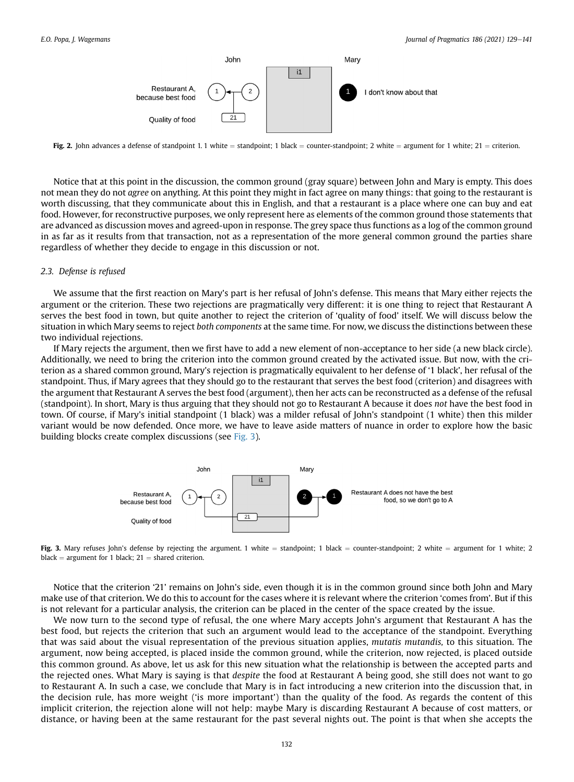<span id="page-4-0"></span>

Fig. 2. John advances a defense of standpoint 1.1 white = standpoint; 1 black = counter-standpoint; 2 white = argument for 1 white;  $21$  = criterion.

Notice that at this point in the discussion, the common ground (gray square) between John and Mary is empty. This does not mean they do not agree on anything. At this point they might in fact agree on many things: that going to the restaurant is worth discussing, that they communicate about this in English, and that a restaurant is a place where one can buy and eat food. However, for reconstructive purposes, we only represent here as elements of the common ground those statements that are advanced as discussion moves and agreed-upon in response. The grey space thus functions as a log of the common ground in as far as it results from that transaction, not as a representation of the more general common ground the parties share regardless of whether they decide to engage in this discussion or not.

#### 2.3. Defense is refused

We assume that the first reaction on Mary's part is her refusal of John's defense. This means that Mary either rejects the argument or the criterion. These two rejections are pragmatically very different: it is one thing to reject that Restaurant A serves the best food in town, but quite another to reject the criterion of 'quality of food' itself. We will discuss below the situation in which Mary seems to reject both components at the same time. For now, we discuss the distinctions between these two individual rejections.

If Mary rejects the argument, then we first have to add a new element of non-acceptance to her side (a new black circle). Additionally, we need to bring the criterion into the common ground created by the activated issue. But now, with the criterion as a shared common ground, Mary's rejection is pragmatically equivalent to her defense of '1 black', her refusal of the standpoint. Thus, if Mary agrees that they should go to the restaurant that serves the best food (criterion) and disagrees with the argument that Restaurant A serves the best food (argument), then her acts can be reconstructed as a defense of the refusal (standpoint). In short, Mary is thus arguing that they should not go to Restaurant A because it does not have the best food in town. Of course, if Mary's initial standpoint (1 black) was a milder refusal of John's standpoint (1 white) then this milder variant would be now defended. Once more, we have to leave aside matters of nuance in order to explore how the basic building blocks create complex discussions (see [Fig. 3](#page-4-1)).

<span id="page-4-1"></span>

Fig. 3. Mary refuses John's defense by rejecting the argument. 1 white = standpoint; 1 black = counter-standpoint; 2 white = argument for 1 white; 2 black = argument for 1 black;  $21$  = shared criterion.

Notice that the criterion '21' remains on John's side, even though it is in the common ground since both John and Mary make use of that criterion. We do this to account for the cases where it is relevant where the criterion 'comes from'. But if this is not relevant for a particular analysis, the criterion can be placed in the center of the space created by the issue.

We now turn to the second type of refusal, the one where Mary accepts John's argument that Restaurant A has the best food, but rejects the criterion that such an argument would lead to the acceptance of the standpoint. Everything that was said about the visual representation of the previous situation applies, mutatis mutandis, to this situation. The argument, now being accepted, is placed inside the common ground, while the criterion, now rejected, is placed outside this common ground. As above, let us ask for this new situation what the relationship is between the accepted parts and the rejected ones. What Mary is saying is that despite the food at Restaurant A being good, she still does not want to go to Restaurant A. In such a case, we conclude that Mary is in fact introducing a new criterion into the discussion that, in the decision rule, has more weight ('is more important') than the quality of the food. As regards the content of this implicit criterion, the rejection alone will not help: maybe Mary is discarding Restaurant A because of cost matters, or distance, or having been at the same restaurant for the past several nights out. The point is that when she accepts the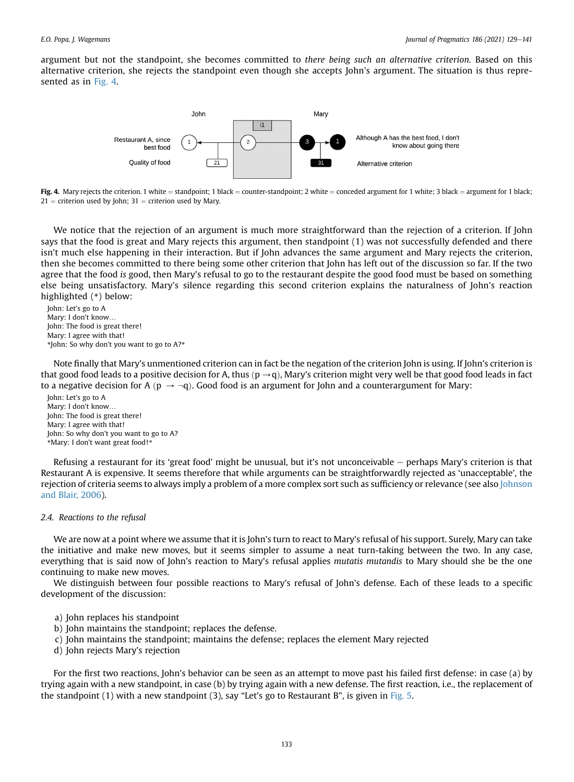<span id="page-5-0"></span>argument but not the standpoint, she becomes committed to there being such an alternative criterion. Based on this alternative criterion, she rejects the standpoint even though she accepts John's argument. The situation is thus represented as in [Fig. 4](#page-5-0).



Fig. 4. Mary rejects the criterion. 1 white = standpoint: 1 black = counter-standpoint: 2 white = conceded argument for 1 white; 3 black = argument for 1 black;  $21$  = criterion used by John;  $31$  = criterion used by Mary.

We notice that the rejection of an argument is much more straightforward than the rejection of a criterion. If John says that the food is great and Mary rejects this argument, then standpoint (1) was not successfully defended and there isn't much else happening in their interaction. But if John advances the same argument and Mary rejects the criterion, then she becomes committed to there being some other criterion that John has left out of the discussion so far. If the two agree that the food is good, then Mary's refusal to go to the restaurant despite the good food must be based on something else being unsatisfactory. Mary's silence regarding this second criterion explains the naturalness of John's reaction highlighted (\*) below:

John: Let's go to A Mary: I don't know… John: The food is great there! Mary: I agree with that! \*John: So why don't you want to go to A?\*

Note finally that Mary's unmentioned criterion can in fact be the negation of the criterion John is using. If John's criterion is that good food leads to a positive decision for A, thus  $(p \rightarrow q)$ , Mary's criterion might very well be that good food leads in fact to a negative decision for A ( $p \rightarrow \neg q$ ). Good food is an argument for John and a counterargument for Mary:

John: Let's go to A Mary: I don't know… John: The food is great there! Mary: I agree with that! John: So why don't you want to go to A? \*Mary: I don't want great food!\*

Refusing a restaurant for its 'great food' might be unusual, but it's not unconceivable  $-$  perhaps Mary's criterion is that Restaurant A is expensive. It seems therefore that while arguments can be straightforwardly rejected as 'unacceptable', the rejection of criteria seems to always imply a problem of a more complex sort such as sufficiency or relevance (see also [Johnson](#page-12-20) [and Blair, 2006](#page-12-20)).

#### 2.4. Reactions to the refusal

We are now at a point where we assume that it is John's turn to react to Mary's refusal of his support. Surely, Mary can take the initiative and make new moves, but it seems simpler to assume a neat turn-taking between the two. In any case, everything that is said now of John's reaction to Mary's refusal applies mutatis mutandis to Mary should she be the one continuing to make new moves.

We distinguish between four possible reactions to Mary's refusal of John's defense. Each of these leads to a specific development of the discussion:

- a) John replaces his standpoint
- b) John maintains the standpoint; replaces the defense.
- c) John maintains the standpoint; maintains the defense; replaces the element Mary rejected
- d) John rejects Mary's rejection

For the first two reactions, John's behavior can be seen as an attempt to move past his failed first defense: in case (a) by trying again with a new standpoint, in case (b) by trying again with a new defense. The first reaction, i.e., the replacement of the standpoint (1) with a new standpoint (3), say "Let's go to Restaurant B", is given in [Fig. 5.](#page-6-0)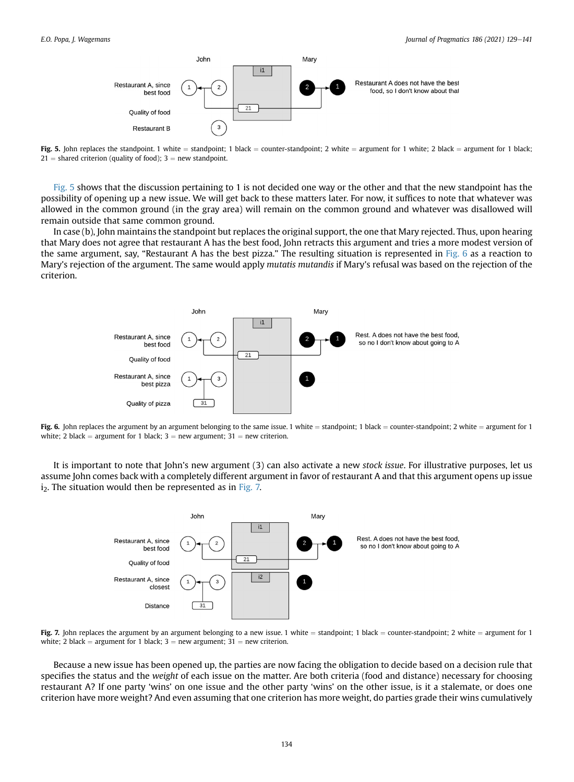<span id="page-6-0"></span>

Fig. 5. John replaces the standpoint. 1 white = standpoint; 1 black = counter-standpoint; 2 white = argument for 1 white; 2 black = argument for 1 black;  $21 =$  shared criterion (quality of food); 3 = new standpoint.

[Fig. 5](#page-6-0) shows that the discussion pertaining to 1 is not decided one way or the other and that the new standpoint has the possibility of opening up a new issue. We will get back to these matters later. For now, it suffices to note that whatever was allowed in the common ground (in the gray area) will remain on the common ground and whatever was disallowed will remain outside that same common ground.

<span id="page-6-1"></span>In case (b), John maintains the standpoint but replaces the original support, the one that Mary rejected. Thus, upon hearing that Mary does not agree that restaurant A has the best food, John retracts this argument and tries a more modest version of the same argument, say, "Restaurant A has the best pizza." The resulting situation is represented in [Fig. 6](#page-6-1) as a reaction to Mary's rejection of the argument. The same would apply mutatis mutandis if Mary's refusal was based on the rejection of the criterion.



Fig. 6. John replaces the argument by an argument belonging to the same issue. 1 white  $=$  standpoint; 1 black  $=$  counter-standpoint; 2 white  $=$  argument for 1 white; 2 black = argument for 1 black;  $3$  = new argument;  $31$  = new criterion.

<span id="page-6-2"></span>It is important to note that John's new argument (3) can also activate a new stock issue. For illustrative purposes, let us assume John comes back with a completely different argument in favor of restaurant A and that this argument opens up issue  $i<sub>2</sub>$ . The situation would then be represented as in [Fig. 7.](#page-6-2)



Fig. 7. John replaces the argument by an argument belonging to a new issue. 1 white = standpoint; 1 black = counter-standpoint; 2 white = argument for 1 white; 2 black = argument for 1 black;  $3 =$  new argument;  $31 =$  new criterion.

Because a new issue has been opened up, the parties are now facing the obligation to decide based on a decision rule that specifies the status and the weight of each issue on the matter. Are both criteria (food and distance) necessary for choosing restaurant A? If one party 'wins' on one issue and the other party 'wins' on the other issue, is it a stalemate, or does one criterion have more weight? And even assuming that one criterion has more weight, do parties grade their wins cumulatively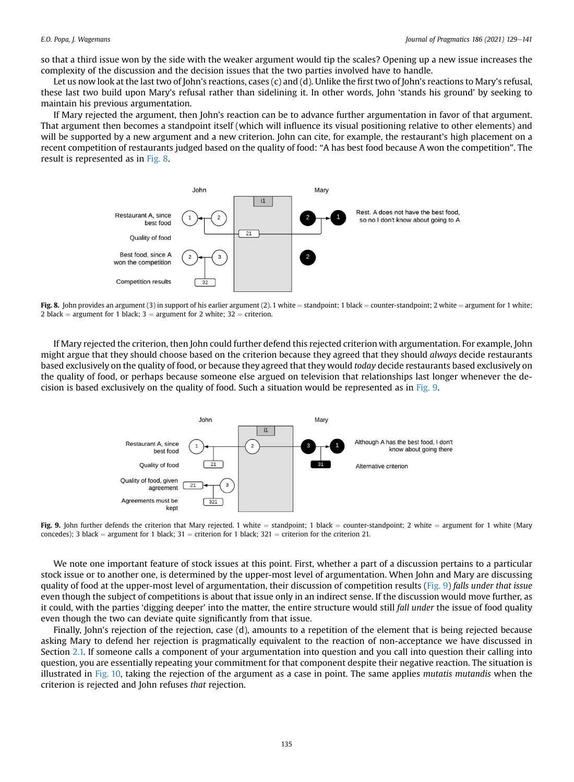so that a third issue won by the side with the weaker argument would tip the scales? Opening up a new issue increases the complexity of the discussion and the decision issues that the two parties involved have to handle.

Let us now look at the last two of John's reactions, cases (c) and (d). Unlike the first two of John's reactions to Mary's refusal, these last two build upon Mary's refusal rather than sidelining it. In other words, John 'stands his ground' by seeking to maintain his previous argumentation.

<span id="page-7-0"></span>If Mary rejected the argument, then John's reaction can be to advance further argumentation in favor of that argument. That argument then becomes a standpoint itself (which will influence its visual positioning relative to other elements) and will be supported by a new argument and a new criterion. John can cite, for example, the restaurant's high placement on a recent competition of restaurants judged based on the quality of food: "A has best food because A won the competition". The result is represented as in [Fig. 8](#page-7-0).



Fig. 8. John provides an argument (3) in support of his earlier argument (2). 1 white = standpoint; 1 black = counter-standpoint; 2 white = argument for 1 white; 2 black = argument for 1 black;  $3 =$  argument for 2 white;  $32 =$  criterion.

<span id="page-7-1"></span>If Mary rejected the criterion, then John could further defend this rejected criterion with argumentation. For example, John might argue that they should choose based on the criterion because they agreed that they should *always* decide restaurants based exclusively on the quality of food, or because they agreed that they would today decide restaurants based exclusively on the quality of food, or perhaps because someone else argued on television that relationships last longer whenever the decision is based exclusively on the quality of food. Such a situation would be represented as in [Fig. 9](#page-7-1).



Fig. 9. John further defends the criterion that Mary rejected. 1 white = standpoint; 1 black = counter-standpoint; 2 white = argument for 1 white (Mary concedes); 3 black = argument for 1 black;  $31$  = criterion for 1 black;  $321$  = criterion for the criterion 21.

We note one important feature of stock issues at this point. First, whether a part of a discussion pertains to a particular stock issue or to another one, is determined by the upper-most level of argumentation. When John and Mary are discussing quality of food at the upper-most level of argumentation, their discussion of competition results [\(Fig. 9](#page-7-1)) falls under that issue even though the subject of competitions is about that issue only in an indirect sense. If the discussion would move further, as it could, with the parties 'digging deeper' into the matter, the entire structure would still fall under the issue of food quality even though the two can deviate quite significantly from that issue.

Finally, John's rejection of the rejection, case (d), amounts to a repetition of the element that is being rejected because asking Mary to defend her rejection is pragmatically equivalent to the reaction of non-acceptance we have discussed in Section [2.1.](#page-2-2) If someone calls a component of your argumentation into question and you call into question their calling into question, you are essentially repeating your commitment for that component despite their negative reaction. The situation is illustrated in [Fig. 10](#page-8-0), taking the rejection of the argument as a case in point. The same applies mutatis mutandis when the criterion is rejected and John refuses that rejection.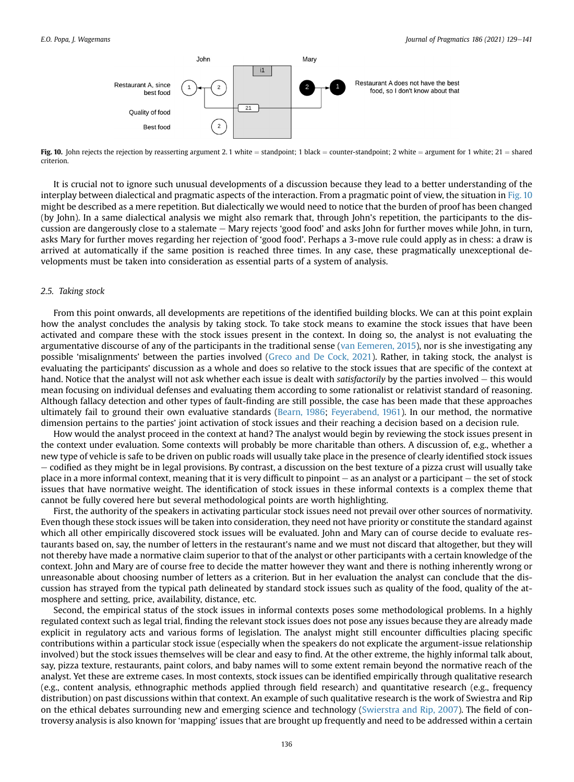<span id="page-8-0"></span>

Fig. 10. John rejects the rejection by reasserting argument 2.1 white = standpoint; 1 black = counter-standpoint; 2 white = argument for 1 white; 21 = shared criterion.

It is crucial not to ignore such unusual developments of a discussion because they lead to a better understanding of the interplay between dialectical and pragmatic aspects of the interaction. From a pragmatic point of view, the situation in [Fig. 10](#page-8-0) might be described as a mere repetition. But dialectically we would need to notice that the burden of proof has been changed (by John). In a same dialectical analysis we might also remark that, through John's repetition, the participants to the discussion are dangerously close to a stalemate  $-$  Mary rejects 'good food' and asks John for further moves while John, in turn, asks Mary for further moves regarding her rejection of 'good food'. Perhaps a 3-move rule could apply as in chess: a draw is arrived at automatically if the same position is reached three times. In any case, these pragmatically unexceptional developments must be taken into consideration as essential parts of a system of analysis.

#### 2.5. Taking stock

From this point onwards, all developments are repetitions of the identified building blocks. We can at this point explain how the analyst concludes the analysis by taking stock. To take stock means to examine the stock issues that have been activated and compare these with the stock issues present in the context. In doing so, the analyst is not evaluating the argumentative discourse of any of the participants in the traditional sense [\(van Eemeren, 2015\)](#page-13-7), nor is she investigating any possible 'misalignments' between the parties involved ([Greco and De Cock, 2021\)](#page-12-17). Rather, in taking stock, the analyst is evaluating the participants' discussion as a whole and does so relative to the stock issues that are specific of the context at hand. Notice that the analyst will not ask whether each issue is dealt with *satisfactorily* by the parties involved  $-$  this would mean focusing on individual defenses and evaluating them according to some rationalist or relativist standard of reasoning. Although fallacy detection and other types of fault-finding are still possible, the case has been made that these approaches ultimately fail to ground their own evaluative standards [\(Bearn, 1986](#page-12-21); [Feyerabend, 1961\)](#page-12-22). In our method, the normative dimension pertains to the parties' joint activation of stock issues and their reaching a decision based on a decision rule.

How would the analyst proceed in the context at hand? The analyst would begin by reviewing the stock issues present in the context under evaluation. Some contexts will probably be more charitable than others. A discussion of, e.g., whether a new type of vehicle is safe to be driven on public roads will usually take place in the presence of clearly identified stock issues e codified as they might be in legal provisions. By contrast, a discussion on the best texture of a pizza crust will usually take place in a more informal context, meaning that it is very difficult to pinpoint  $-$  as an analyst or a participant  $-$  the set of stock issues that have normative weight. The identification of stock issues in these informal contexts is a complex theme that cannot be fully covered here but several methodological points are worth highlighting.

First, the authority of the speakers in activating particular stock issues need not prevail over other sources of normativity. Even though these stock issues will be taken into consideration, they need not have priority or constitute the standard against which all other empirically discovered stock issues will be evaluated. John and Mary can of course decide to evaluate restaurants based on, say, the number of letters in the restaurant's name and we must not discard that altogether, but they will not thereby have made a normative claim superior to that of the analyst or other participants with a certain knowledge of the context. John and Mary are of course free to decide the matter however they want and there is nothing inherently wrong or unreasonable about choosing number of letters as a criterion. But in her evaluation the analyst can conclude that the discussion has strayed from the typical path delineated by standard stock issues such as quality of the food, quality of the atmosphere and setting, price, availability, distance, etc.

Second, the empirical status of the stock issues in informal contexts poses some methodological problems. In a highly regulated context such as legal trial, finding the relevant stock issues does not pose any issues because they are already made explicit in regulatory acts and various forms of legislation. The analyst might still encounter difficulties placing specific contributions within a particular stock issue (especially when the speakers do not explicate the argument-issue relationship involved) but the stock issues themselves will be clear and easy to find. At the other extreme, the highly informal talk about, say, pizza texture, restaurants, paint colors, and baby names will to some extent remain beyond the normative reach of the analyst. Yet these are extreme cases. In most contexts, stock issues can be identified empirically through qualitative research (e.g., content analysis, ethnographic methods applied through field research) and quantitative research (e.g., frequency distribution) on past discussions within that context. An example of such qualitative research is the work of Swiestra and Rip on the ethical debates surrounding new and emerging science and technology ([Swierstra and Rip, 2007\)](#page-13-8). The field of controversy analysis is also known for 'mapping' issues that are brought up frequently and need to be addressed within a certain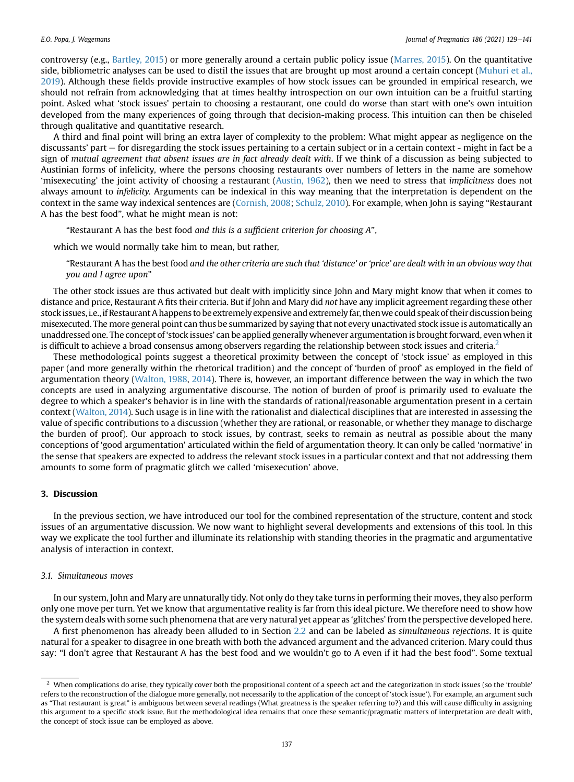controversy (e.g., [Bartley, 2015\)](#page-12-23) or more generally around a certain public policy issue ([Marres, 2015](#page-12-24)). On the quantitative side, bibliometric analyses can be used to distil the issues that are brought up most around a certain concept [\(Muhuri et al.,](#page-12-25) [2019](#page-12-25)). Although these fields provide instructive examples of how stock issues can be grounded in empirical research, we should not refrain from acknowledging that at times healthy introspection on our own intuition can be a fruitful starting point. Asked what 'stock issues' pertain to choosing a restaurant, one could do worse than start with one's own intuition developed from the many experiences of going through that decision-making process. This intuition can then be chiseled through qualitative and quantitative research.

A third and final point will bring an extra layer of complexity to the problem: What might appear as negligence on the discussants' part – for disregarding the stock issues pertaining to a certain subject or in a certain context - might in fact be a sign of mutual agreement that absent issues are in fact already dealt with. If we think of a discussion as being subjected to Austinian forms of infelicity, where the persons choosing restaurants over numbers of letters in the name are somehow 'misexecuting' the joint activity of choosing a restaurant ([Austin, 1962\)](#page-12-26), then we need to stress that *implicitness* does not always amount to infelicity. Arguments can be indexical in this way meaning that the interpretation is dependent on the context in the same way indexical sentences are ([Cornish, 2008;](#page-12-27) [Schulz, 2010](#page-12-28)). For example, when John is saying "Restaurant A has the best food", what he might mean is not:

"Restaurant A has the best food and this is a sufficient criterion for choosing A",

which we would normally take him to mean, but rather,

"Restaurant A has the best food and the other criteria are such that 'distance' or 'price' are dealt with in an obvious way that you and I agree upon"

The other stock issues are thus activated but dealt with implicitly since John and Mary might know that when it comes to distance and price, Restaurant A fits their criteria. But if John and Mary did not have any implicit agreement regarding these other stock issues,i.e.,if Restaurant A happens to be extremely expensive and extremely far, thenwe could speak of their discussion being misexecuted. The more general point can thus be summarized by saying that not every unactivated stock issue is automatically an unaddressed one. The concept of 'stock issues' can be applied generally whenever argumentation is brought forward, evenwhen it is difficult to achieve a broad consensus among observers regarding the relationship between stock issues and criteria.<sup>2</sup>

These methodological points suggest a theoretical proximity between the concept of 'stock issue' as employed in this paper (and more generally within the rhetorical tradition) and the concept of 'burden of proof' as employed in the field of argumentation theory ([Walton, 1988,](#page-13-9) [2014](#page-13-10)). There is, however, an important difference between the way in which the two concepts are used in analyzing argumentative discourse. The notion of burden of proof is primarily used to evaluate the degree to which a speaker's behavior is in line with the standards of rational/reasonable argumentation present in a certain context ([Walton, 2014](#page-13-10)). Such usage is in line with the rationalist and dialectical disciplines that are interested in assessing the value of specific contributions to a discussion (whether they are rational, or reasonable, or whether they manage to discharge the burden of proof). Our approach to stock issues, by contrast, seeks to remain as neutral as possible about the many conceptions of 'good argumentation' articulated within the field of argumentation theory. It can only be called 'normative' in the sense that speakers are expected to address the relevant stock issues in a particular context and that not addressing them amounts to some form of pragmatic glitch we called 'misexecution' above.

#### <span id="page-9-0"></span>3. Discussion

In the previous section, we have introduced our tool for the combined representation of the structure, content and stock issues of an argumentative discussion. We now want to highlight several developments and extensions of this tool. In this way we explicate the tool further and illuminate its relationship with standing theories in the pragmatic and argumentative analysis of interaction in context.

#### 3.1. Simultaneous moves

In our system, John and Mary are unnaturally tidy. Not only do they take turns in performing their moves, they also perform only one move per turn. Yet we know that argumentative reality is far from this ideal picture. We therefore need to show how the system deals with some such phenomena that are very natural yet appear as 'glitches' from the perspective developed here.

A first phenomenon has already been alluded to in Section [2.2](#page-3-1) and can be labeled as simultaneous rejections. It is quite natural for a speaker to disagree in one breath with both the advanced argument and the advanced criterion. Mary could thus say: "I don't agree that Restaurant A has the best food and we wouldn't go to A even if it had the best food". Some textual

<span id="page-9-1"></span><sup>&</sup>lt;sup>2</sup> When complications do arise, they typically cover both the propositional content of a speech act and the categorization in stock issues (so the 'trouble' refers to the reconstruction of the dialogue more generally, not necessarily to the application of the concept of 'stock issue'). For example, an argument such as "That restaurant is great" is ambiguous between several readings (What greatness is the speaker referring to?) and this will cause difficulty in assigning this argument to a specific stock issue. But the methodological idea remains that once these semantic/pragmatic matters of interpretation are dealt with, the concept of stock issue can be employed as above.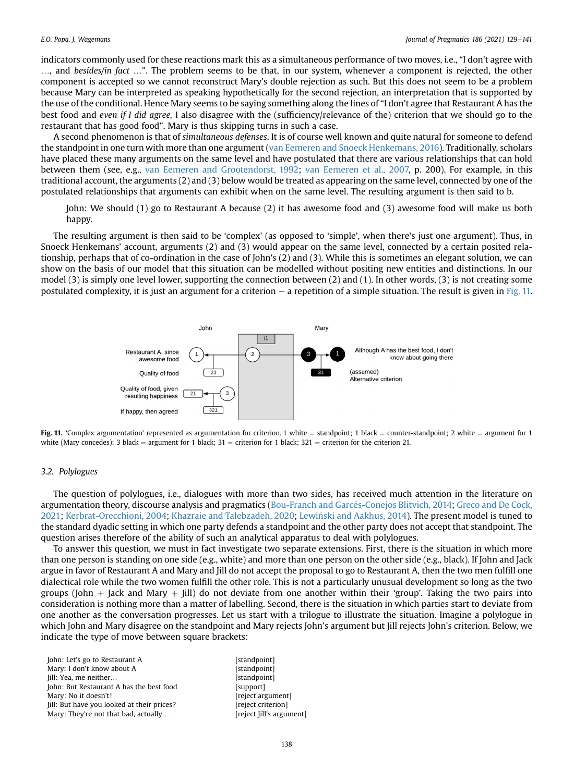indicators commonly used for these reactions mark this as a simultaneous performance of two moves, i.e., "I don't agree with …, and besides/in fact …". The problem seems to be that, in our system, whenever a component is rejected, the other component is accepted so we cannot reconstruct Mary's double rejection as such. But this does not seem to be a problem because Mary can be interpreted as speaking hypothetically for the second rejection, an interpretation that is supported by the use of the conditional. Hence Mary seems to be saying something along the lines of "I don't agree that Restaurant A has the best food and even if I did agree, I also disagree with the (sufficiency/relevance of the) criterion that we should go to the restaurant that has good food". Mary is thus skipping turns in such a case.

A second phenomenon is that of simultaneous defenses. It is of course well known and quite natural for someone to defend the standpoint in one turn with more than one argument [\(van Eemeren and Snoeck Henkemans, 2016\)](#page-13-0). Traditionally, scholars have placed these many arguments on the same level and have postulated that there are various relationships that can hold between them (see, e.g., [van Eemeren and Grootendorst, 1992](#page-13-11); [van Eemeren et al., 2007,](#page-13-12) p. 200). For example, in this traditional account, the arguments (2) and (3) below would be treated as appearing on the same level, connected by one of the postulated relationships that arguments can exhibit when on the same level. The resulting argument is then said to b.

John: We should (1) go to Restaurant A because (2) it has awesome food and (3) awesome food will make us both happy.

The resulting argument is then said to be 'complex' (as opposed to 'simple', when there's just one argument). Thus, in Snoeck Henkemans' account, arguments (2) and (3) would appear on the same level, connected by a certain posited relationship, perhaps that of co-ordination in the case of John's (2) and (3). While this is sometimes an elegant solution, we can show on the basis of our model that this situation can be modelled without positing new entities and distinctions. In our model (3) is simply one level lower, supporting the connection between (2) and (1). In other words, (3) is not creating some postulated complexity, it is just an argument for a criterion  $-$  a repetition of a simple situation. The result is given in [Fig. 11.](#page-10-0)

<span id="page-10-0"></span>

Fig. 11. 'Complex argumentation' represented as argumentation for criterion. 1 white = standpoint; 1 black = counter-standpoint; 2 white = argument for 1 white (Mary concedes); 3 black = argument for 1 black; 31 = criterion for 1 black; 321 = criterion for the criterion 21.

#### 3.2. Polylogues

The question of polylogues, i.e., dialogues with more than two sides, has received much attention in the literature on argumentation theory, discourse analysis and pragmatics [\(Bou-Franch and Garc](#page-12-29)é[s-Conejos Blitvich, 2014](#page-12-29); [Greco and De Cock,](#page-12-17) [2021](#page-12-17); [Kerbrat-Orecchioni, 2004;](#page-12-18) [Khazraie and Talebzadeh, 2020](#page-12-30); Lewiński and Aakhus, 2014). The present model is tuned to the standard dyadic setting in which one party defends a standpoint and the other party does not accept that standpoint. The question arises therefore of the ability of such an analytical apparatus to deal with polylogues.

To answer this question, we must in fact investigate two separate extensions. First, there is the situation in which more than one person is standing on one side (e.g., white) and more than one person on the other side (e.g., black). If John and Jack argue in favor of Restaurant A and Mary and Jill do not accept the proposal to go to Restaurant A, then the two men fulfill one dialectical role while the two women fulfill the other role. This is not a particularly unusual development so long as the two groups (John  $+$  Jack and Mary  $+$  Jill) do not deviate from one another within their 'group'. Taking the two pairs into consideration is nothing more than a matter of labelling. Second, there is the situation in which parties start to deviate from one another as the conversation progresses. Let us start with a trilogue to illustrate the situation. Imagine a polylogue in which John and Mary disagree on the standpoint and Mary rejects John's argument but Jill rejects John's criterion. Below, we indicate the type of move between square brackets:

John: Let's go to Restaurant A [standpoint] Mary: I don't know about A [standpoint] Jill: Yea, me neither... John: But Restaurant A has the best food [support] Mary: No it doesn't! let us a series are a linear series and freject argument] Jill: But have you looked at their prices? [reject criterion] Mary: They're not that bad, actually... [reject Jill's argument]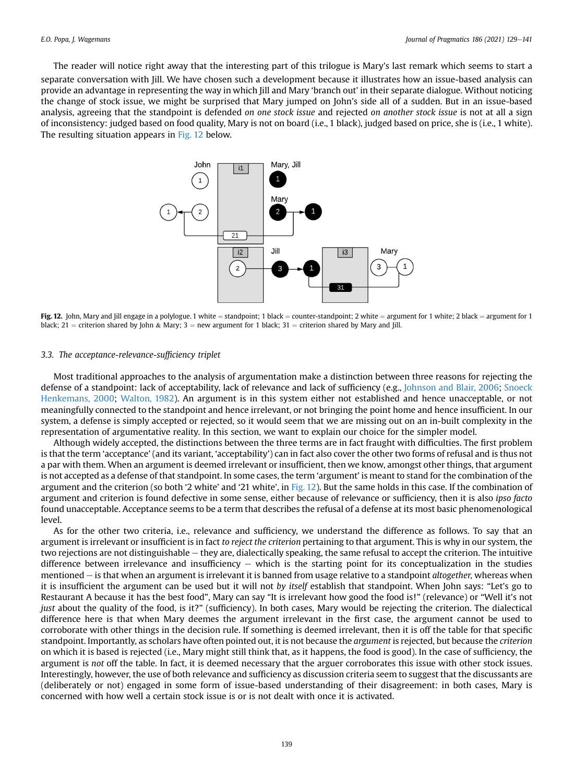<span id="page-11-0"></span>The reader will notice right away that the interesting part of this trilogue is Mary's last remark which seems to start a separate conversation with Jill. We have chosen such a development because it illustrates how an issue-based analysis can provide an advantage in representing the way in which Jill and Mary 'branch out' in their separate dialogue. Without noticing the change of stock issue, we might be surprised that Mary jumped on John's side all of a sudden. But in an issue-based analysis, agreeing that the standpoint is defended on one stock issue and rejected on another stock issue is not at all a sign of inconsistency: judged based on food quality, Mary is not on board (i.e., 1 black), judged based on price, she is (i.e., 1 white). The resulting situation appears in [Fig. 12](#page-11-0) below.



Fig. 12. John, Mary and Jill engage in a polylogue. 1 white = standpoint; 1 black = counter-standpoint; 2 white = argument for 1 white; 2 black = argument for 1 black; 21 = criterion shared by John & Mary; 3 = new argument for 1 black; 31 = criterion shared by Mary and Jill.

#### 3.3. The acceptance-relevance-sufficiency triplet

Most traditional approaches to the analysis of argumentation make a distinction between three reasons for rejecting the defense of a standpoint: lack of acceptability, lack of relevance and lack of sufficiency (e.g., [Johnson and Blair, 2006](#page-12-20); [Snoeck](#page-13-3) [Henkemans, 2000](#page-13-3); [Walton, 1982](#page-13-13)). An argument is in this system either not established and hence unacceptable, or not meaningfully connected to the standpoint and hence irrelevant, or not bringing the point home and hence insufficient. In our system, a defense is simply accepted or rejected, so it would seem that we are missing out on an in-built complexity in the representation of argumentative reality. In this section, we want to explain our choice for the simpler model.

Although widely accepted, the distinctions between the three terms are in fact fraught with difficulties. The first problem is that the term 'acceptance' (and its variant, 'acceptability') can in fact also cover the other two forms of refusal and is thus not a par with them. When an argument is deemed irrelevant or insufficient, then we know, amongst other things, that argument is not accepted as a defense of that standpoint. In some cases, the term 'argument' is meant to stand for the combination of the argument and the criterion (so both '2 white' and '21 white', in [Fig. 12\)](#page-11-0). But the same holds in this case. If the combination of argument and criterion is found defective in some sense, either because of relevance or sufficiency, then it is also ipso facto found unacceptable. Acceptance seems to be a term that describes the refusal of a defense at its most basic phenomenological level.

As for the other two criteria, i.e., relevance and sufficiency, we understand the difference as follows. To say that an argument is irrelevant or insufficient is in fact to reject the criterion pertaining to that argument. This is why in our system, the two rejections are not distinguishable  $-$  they are, dialectically speaking, the same refusal to accept the criterion. The intuitive difference between irrelevance and insufficiency  $-$  which is the starting point for its conceptualization in the studies mentioned  $-$  is that when an argument is irrelevant it is banned from usage relative to a standpoint altogether, whereas when it is insufficient the argument can be used but it will not by itself establish that standpoint. When John says: "Let's go to Restaurant A because it has the best food", Mary can say "It is irrelevant how good the food is!" (relevance) or "Well it's not just about the quality of the food, is it?" (sufficiency). In both cases, Mary would be rejecting the criterion. The dialectical difference here is that when Mary deemes the argument irrelevant in the first case, the argument cannot be used to corroborate with other things in the decision rule. If something is deemed irrelevant, then it is off the table for that specific standpoint. Importantly, as scholars have often pointed out, it is not because the *argument* is rejected, but because the *criterion* on which it is based is rejected (i.e., Mary might still think that, as it happens, the food is good). In the case of sufficiency, the argument is not off the table. In fact, it is deemed necessary that the arguer corroborates this issue with other stock issues. Interestingly, however, the use of both relevance and sufficiency as discussion criteria seem to suggest that the discussants are (deliberately or not) engaged in some form of issue-based understanding of their disagreement: in both cases, Mary is concerned with how well a certain stock issue is or is not dealt with once it is activated.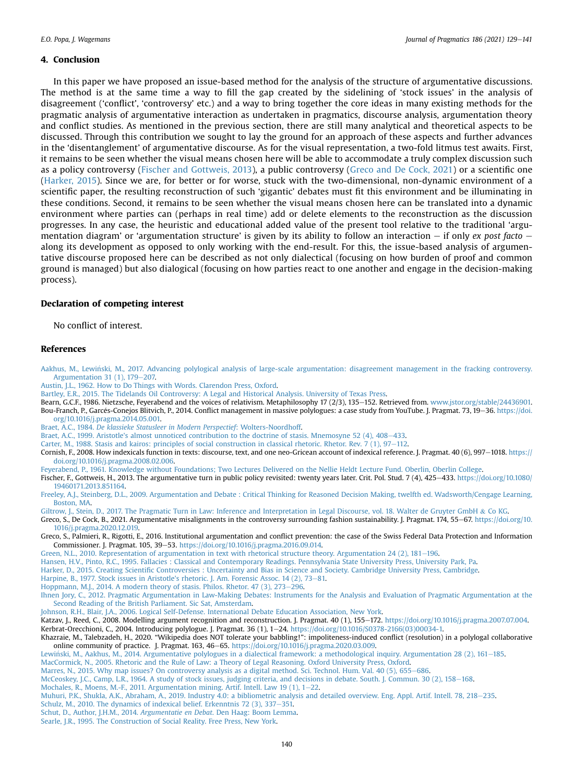#### 4. Conclusion

In this paper we have proposed an issue-based method for the analysis of the structure of argumentative discussions. The method is at the same time a way to fill the gap created by the sidelining of 'stock issues' in the analysis of disagreement ('conflict', 'controversy' etc.) and a way to bring together the core ideas in many existing methods for the pragmatic analysis of argumentative interaction as undertaken in pragmatics, discourse analysis, argumentation theory and conflict studies. As mentioned in the previous section, there are still many analytical and theoretical aspects to be discussed. Through this contribution we sought to lay the ground for an approach of these aspects and further advances in the 'disentanglement' of argumentative discourse. As for the visual representation, a two-fold litmus test awaits. First, it remains to be seen whether the visual means chosen here will be able to accommodate a truly complex discussion such as a policy controversy [\(Fischer and Gottweis, 2013](#page-12-32)), a public controversy [\(Greco and De Cock, 2021\)](#page-12-17) or a scientific one ([Harker, 2015\)](#page-12-33). Since we are, for better or for worse, stuck with the two-dimensional, non-dynamic environment of a scientific paper, the resulting reconstruction of such 'gigantic' debates must fit this environment and be illuminating in these conditions. Second, it remains to be seen whether the visual means chosen here can be translated into a dynamic environment where parties can (perhaps in real time) add or delete elements to the reconstruction as the discussion progresses. In any case, the heuristic and educational added value of the present tool relative to the traditional 'argumentation diagram' or 'argumentation structure' is given by its ability to follow an interaction  $-$  if only ex post facto  $$ along its development as opposed to only working with the end-result. For this, the issue-based analysis of argumentative discourse proposed here can be described as not only dialectical (focusing on how burden of proof and common ground is managed) but also dialogical (focusing on how parties react to one another and engage in the decision-making process).

#### Declaration of competing interest

No conflict of interest.

#### References

<span id="page-12-0"></span>[Aakhus, M., Lewinski, M., 2017. Advancing polylogical analysis of large-scale argumentation: disagreement management in the fracking controversy.](http://refhub.elsevier.com/S0378-2166(21)00340-4/sref1) [Argumentation 31 \(1\), 179](http://refhub.elsevier.com/S0378-2166(21)00340-4/sref1)-[207.](http://refhub.elsevier.com/S0378-2166(21)00340-4/sref1)

<span id="page-12-26"></span>[Austin, J.L., 1962. How to Do Things with Words. Clarendon Press, Oxford](http://refhub.elsevier.com/S0378-2166(21)00340-4/sref2).

<span id="page-12-23"></span>[Bartley, E.R., 2015. The Tidelands Oil Controversy: A Legal and Historical Analysis. University of Texas Press.](http://refhub.elsevier.com/S0378-2166(21)00340-4/sref3)

<span id="page-12-29"></span><span id="page-12-21"></span>Bearn, G.C.F., 1986. Nietzsche, Feyerabend and the voices of relativism. Metaphilosophy 17 (2/3), 135-152. Retrieved from. [www.jstor.org/stable/24436901.](http://www.jstor.org/stable/24436901) Bou-Franch, P., Garcés-Conejos Blitvich, P., 2014. Conflict management in massive polylogues: a case study from YouTube. J. Pragmat. 73, 19-36. [https://doi.](https://doi.org/10.1016/j.pragma.2014.05.001) [org/10.1016/j.pragma.2014.05.001.](https://doi.org/10.1016/j.pragma.2014.05.001)

<span id="page-12-11"></span>Braet, A.C., 1984. [De klassieke Statusleer in Modern Perspectief](http://refhub.elsevier.com/S0378-2166(21)00340-4/sref6): Wolters-Noordhoff.

<span id="page-12-12"></span>[Braet, A.C., 1999. Aristotle's almost unnoticed contribution to the doctrine of stasis. Mnemosyne 52 \(4\), 408](http://refhub.elsevier.com/S0378-2166(21)00340-4/sref7)-[433](http://refhub.elsevier.com/S0378-2166(21)00340-4/sref7).

<span id="page-12-9"></span>Carter, M., 1988. Stasis and kairos: principles of social construction in classical rhetoric. Rhetor. Rev. 7 (1),  $97-112$ .

<span id="page-12-27"></span>Cornish, F., 2008. How indexicals function in texts: discourse, text, and one neo-Gricean account of indexical reference. J. Pragmat. 40 (6), 997-1018. [https://](https://doi.org/10.1016/j.pragma.2008.02.006) [doi.org/10.1016/j.pragma.2008.02.006.](https://doi.org/10.1016/j.pragma.2008.02.006)

<span id="page-12-22"></span>[Feyerabend, P., 1961. Knowledge without Foundations; Two Lectures Delivered on the Nellie Heldt Lecture Fund. Oberlin, Oberlin College](http://refhub.elsevier.com/S0378-2166(21)00340-4/sref10).

<span id="page-12-32"></span>Fischer, F., Gottweis, H., 2013. The argumentative turn in public policy revisited: twenty years later. Crit. Pol. Stud. 7 (4), 425–433. [https://doi.org/10.1080/](https://doi.org/10.1080/19460171.2013.851164) [19460171.2013.851164](https://doi.org/10.1080/19460171.2013.851164).

<span id="page-12-5"></span>[Freeley, A.J., Steinberg, D.L., 2009. Argumentation and Debate : Critical Thinking for Reasoned Decision Making, twelfth ed. Wadsworth/Cengage Learning,](http://refhub.elsevier.com/S0378-2166(21)00340-4/sref12) [Boston, MA.](http://refhub.elsevier.com/S0378-2166(21)00340-4/sref12)

<span id="page-12-15"></span>[Giltrow, J., Stein, D., 2017. The Pragmatic Turn in Law: Inference and Interpretation in Legal Discourse, vol. 18. Walter de Gruyter GmbH](http://refhub.elsevier.com/S0378-2166(21)00340-4/sref13) & [Co KG.](http://refhub.elsevier.com/S0378-2166(21)00340-4/sref13)

<span id="page-12-17"></span>Greco, S., De Cock, B., 2021. Argumentative misalignments in the controversy surrounding fashion sustainability. J. Pragmat. 174, 55–67. [https://doi.org/10.](https://doi.org/10.1016/j.pragma.2020.12.019) [1016/j.pragma.2020.12.019](https://doi.org/10.1016/j.pragma.2020.12.019).

<span id="page-12-1"></span>Greco, S., Palmieri, R., Rigotti, E., 2016. Institutional argumentation and conflict prevention: the case of the Swiss Federal Data Protection and Information Commissioner. J. Pragmat. 105, 39-53. [https://doi.org/10.1016/j.pragma.2016.09.014.](https://doi.org/10.1016/j.pragma.2016.09.014)

<span id="page-12-2"></span>[Green, N.L., 2010. Representation of argumentation in text with rhetorical structure theory. Argumentation 24 \(2\), 181](http://refhub.elsevier.com/S0378-2166(21)00340-4/sref16)-[196.](http://refhub.elsevier.com/S0378-2166(21)00340-4/sref16)

<span id="page-12-14"></span>[Hansen, H.V., Pinto, R.C., 1995. Fallacies : Classical and Contemporary Readings. Pennsylvania State University Press, University Park, Pa.](http://refhub.elsevier.com/S0378-2166(21)00340-4/sref17)

<span id="page-12-33"></span>Harker, D., 2015. Creating Scientifi[c Controversies : Uncertainty and Bias in Science and Society. Cambridge University Press, Cambridge](http://refhub.elsevier.com/S0378-2166(21)00340-4/sref18).

<span id="page-12-13"></span>[Harpine, B., 1977. Stock issues in Aristotle's rhetoric. J. Am. Forensic Assoc. 14 \(2\), 73](http://refhub.elsevier.com/S0378-2166(21)00340-4/sref19)-[81.](http://refhub.elsevier.com/S0378-2166(21)00340-4/sref19)

<span id="page-12-10"></span>[Hoppmann, M.J., 2014. A modern theory of stasis. Philos. Rhetor. 47 \(3\), 273](http://refhub.elsevier.com/S0378-2166(21)00340-4/sref20)-[296.](http://refhub.elsevier.com/S0378-2166(21)00340-4/sref20)

<span id="page-12-6"></span>[Ihnen Jory, C., 2012. Pragmatic Argumentation in Law-Making Debates: Instruments for the Analysis and Evaluation of Pragmatic Argumentation at the](http://refhub.elsevier.com/S0378-2166(21)00340-4/sref21) [Second Reading of the British Parliament. Sic Sat, Amsterdam.](http://refhub.elsevier.com/S0378-2166(21)00340-4/sref21)

<span id="page-12-20"></span>[Johnson, R.H., Blair, J.A., 2006. Logical Self-Defense. International Debate Education Association, New York.](http://refhub.elsevier.com/S0378-2166(21)00340-4/sref22)

<span id="page-12-4"></span>Katzav, J., Reed, C., 2008. Modelling argument recognition and reconstruction. J. Pragmat. 40 (1), 155–172. <https://doi.org/10.1016/j.pragma.2007.07.004>.

<span id="page-12-18"></span>Kerbrat-Orecchioni, C., 2004. Introducing polylogue. J. Pragmat. 36 (1), 1-24. [https://doi.org/10.1016/S0378-2166\(03\)00034-1.](https://doi.org/10.1016/S0378-2166(03)00034-1)

<span id="page-12-30"></span>Khazraie, M., Talebzadeh, H., 2020. "Wikipedia does NOT tolerate your babbling!": impoliteness-induced conflict (resolution) in a polylogal collaborative online community of practice. J. Pragmat. 163, 46–65. [https://doi.org/10.1016/j.pragma.2020.03.009.](https://doi.org/10.1016/j.pragma.2020.03.009)

<span id="page-12-31"></span><span id="page-12-16"></span>[Lewinski, M., Aakhus, M., 2014. Argumentative polylogues in a dialectical framework: a methodological inquiry. Argumentation 28 \(2\), 161](http://refhub.elsevier.com/S0378-2166(21)00340-4/sref26)-[185](http://refhub.elsevier.com/S0378-2166(21)00340-4/sref26).

<span id="page-12-24"></span>MacCormick, N., 2005. Rhetoric and the Rule of Law: a Theory of Legal Reasoning. Oxford University Press, Oxford<br>Marres, N., 2015. Why map issues? On controversy analysis as a digital method. Sci. Technol. Hum. Val. 40 (5)

<span id="page-12-7"></span>

<span id="page-12-3"></span>[McCeoskey, J.C., Camp, L.R., 1964. A study of stock issues, judging criteria, and decisions in debate. South. J. Commun. 30 \(2\), 158](http://refhub.elsevier.com/S0378-2166(21)00340-4/sref29)-[168.](http://refhub.elsevier.com/S0378-2166(21)00340-4/sref29) [Mochales, R., Moens, M.-F., 2011. Argumentation mining. Artif. Intell. Law 19 \(1\), 1](http://refhub.elsevier.com/S0378-2166(21)00340-4/sref30)-[22](http://refhub.elsevier.com/S0378-2166(21)00340-4/sref30).

<span id="page-12-28"></span>Schulz, M., 2010. The dynamics of indexical belief. Erkenntnis  $72$  (3),  $337-351$ .

<span id="page-12-8"></span>[Schut, D., Author, J.H.M., 2014.](http://refhub.elsevier.com/S0378-2166(21)00340-4/sref33) Argumentatie en Debat. Den Haag: Boom Lemma.

<span id="page-12-19"></span>[Searle, J.R., 1995. The Construction of Social Reality. Free Press, New York.](http://refhub.elsevier.com/S0378-2166(21)00340-4/sref34)

<span id="page-12-25"></span>[Muhuri, P.K., Shukla, A.K., Abraham, A., 2019. Industry 4.0: a bibliometric analysis and detailed overview. Eng. Appl. Artif. Intell. 78, 218](http://refhub.elsevier.com/S0378-2166(21)00340-4/sref31)–[235.](http://refhub.elsevier.com/S0378-2166(21)00340-4/sref31)